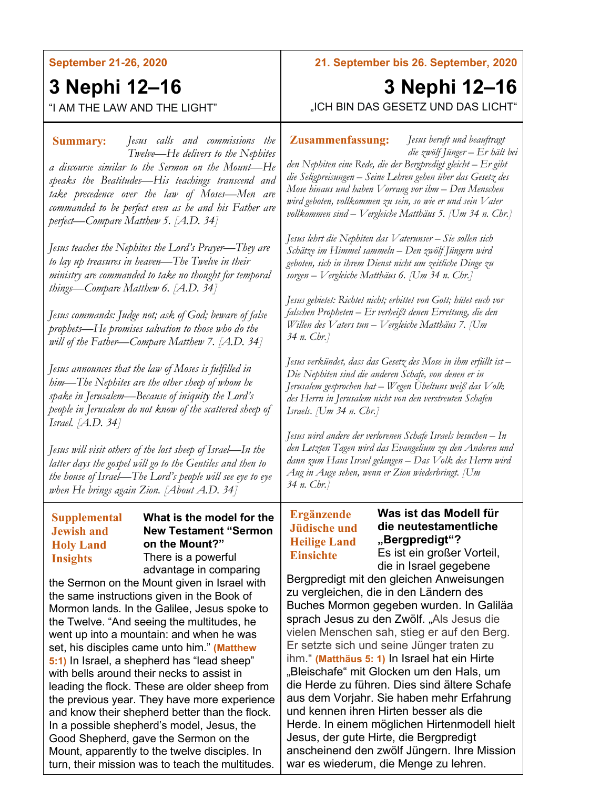**September 21-26, 2020**

# **3 Nephi 12–16**

## "I AM THE LAW AND THE LIGHT"

*Jesus calls and commissions the* **Summary: Zusammenfassung:** *Twelve—He delivers to the Nephites a discourse similar to the Sermon on the Mount—He speaks the Beatitudes—His teachings transcend and take precedence over the law of Moses—Men are commanded to be perfect even as he and his Father are perfect—Compare Matthew 5. [A.D. 34]*

*Jesus teaches the Nephites the Lord's Prayer—They are to lay up treasures in heaven—The Twelve in their ministry are commanded to take no thought for temporal things—Compare Matthew 6. [A.D. 34]*

*Jesus commands: Judge not; ask of God; beware of false prophets—He promises salvation to those who do the will of the Father—Compare Matthew 7. [A.D. 34]*

*Jesus announces that the law of Moses is fulfilled in him—The Nephites are the other sheep of whom he spake in Jerusalem—Because of iniquity the Lord's people in Jerusalem do not know of the scattered sheep of Israel. [A.D. 34]*

*Jesus will visit others of the lost sheep of Israel—In the latter days the gospel will go to the Gentiles and then to the house of Israel—The Lord's people will see eye to eye when He brings again Zion. [About A.D. 34]*

### **What is the model for the New Testament "Sermon on the Mount?"** There is a powerful advantage in comparing the Sermon on the Mount given in Israel with the same instructions given in the Book of **Supplemental Jewish and Holy Land Insights**

Mormon lands. In the Galilee, Jesus spoke to the Twelve. "And seeing the multitudes, he went up into a mountain: and when he was set, his disciples came unto him." **(Matthew 5:1)** In Israel, a shepherd has "lead sheep" with bells around their necks to assist in leading the flock. These are older sheep from the previous year. They have more experience and know their shepherd better than the flock. In a possible shepherd's model, Jesus, the Good Shepherd, gave the Sermon on the Mount, apparently to the twelve disciples. In turn, their mission was to teach the multitudes. **21. September bis 26. September, 2020**

## **3 Nephi 12–16** "ICH BIN DAS GESETZ UND DAS LICHT"

*Jesus beruft und beauftragt die zwölf Jünger – Er hält bei* 

*den Nephiten eine Rede, die der Bergpredigt gleicht – Er gibt die Seligpreisungen – Seine Lehren gehen über das Gesetz des Mose hinaus und haben Vorrang vor ihm – Den Menschen wird geboten, vollkommen zu sein, so wie er und sein Vater vollkommen sind – Vergleiche Matthäus 5. [Um 34 n. Chr.]*

*Jesus lehrt die Nephiten das Vaterunser – Sie sollen sich Schätze im Himmel sammeln – Den zwölf Jüngern wird geboten, sich in ihrem Dienst nicht um zeitliche Dinge zu sorgen – Vergleiche Matthäus 6. [Um 34 n. Chr.]*

*Jesus gebietet: Richtet nicht; erbittet von Gott; hütet euch vor falschen Propheten – Er verheißt denen Errettung, die den Willen des Vaters tun – Vergleiche Matthäus 7. [Um 34 n. Chr.]*

*Jesus verkündet, dass das Gesetz des Mose in ihm erfüllt ist – Die Nephiten sind die anderen Schafe, von denen er in Jerusalem gesprochen hat – Wegen Übeltuns weiß das Volk des Herrn in Jerusalem nicht von den verstreuten Schafen Israels. [Um 34 n. Chr.]*

*Jesus wird andere der verlorenen Schafe Israels besuchen – In den Letzten Tagen wird das Evangelium zu den Anderen und dann zum Haus Israel gelangen – Das Volk des Herrn wird Aug in Auge sehen, wenn er Zion wiederbringt. [Um 34 n. Chr.]*

## **Ergänzende Jüdische und Heilige Land Einsichte**

## **Was ist das Modell für die neutestamentliche "Bergpredigt"?** Es ist ein großer Vorteil,

die in Israel gegebene Bergpredigt mit den gleichen Anweisungen zu vergleichen, die in den Ländern des Buches Mormon gegeben wurden. In Galiläa sprach Jesus zu den Zwölf. "Als Jesus die vielen Menschen sah, stieg er auf den Berg. Er setzte sich und seine Jünger traten zu ihm." **(Matthäus 5: 1)** In Israel hat ein Hirte "Bleischafe" mit Glocken um den Hals, um die Herde zu führen. Dies sind ältere Schafe aus dem Vorjahr. Sie haben mehr Erfahrung und kennen ihren Hirten besser als die Herde. In einem möglichen Hirtenmodell hielt Jesus, der gute Hirte, die Bergpredigt anscheinend den zwölf Jüngern. Ihre Mission

war es wiederum, die Menge zu lehren.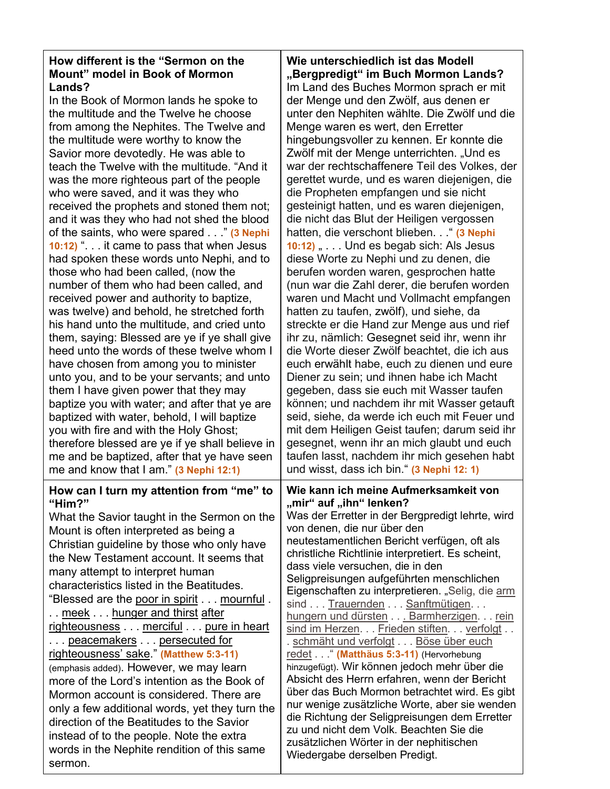## **How different is the "Sermon on the Mount" model in Book of Mormon Lands?**

In the Book of Mormon lands he spoke to the multitude and the Twelve he choose from among the Nephites. The Twelve and the multitude were worthy to know the Savior more devotedly. He was able to teach the Twelve with the multitude. "And it was the more righteous part of the people who were saved, and it was they who received the prophets and stoned them not; and it was they who had not shed the blood of the saints, who were spared . . ." **(3 Nephi 10:12)** ". . . it came to pass that when Jesus had spoken these words unto Nephi, and to those who had been called, (now the number of them who had been called, and received power and authority to baptize, was twelve) and behold, he stretched forth his hand unto the multitude, and cried unto them, saying: Blessed are ye if ye shall give heed unto the words of these twelve whom I have chosen from among you to minister unto you, and to be your servants; and unto them I have given power that they may baptize you with water; and after that ye are baptized with water, behold, I will baptize you with fire and with the Holy Ghost; therefore blessed are ye if ye shall believe in me and be baptized, after that ye have seen me and know that I am." **(3 Nephi 12:1) How can I turn my attention from "me" to "Him?"** What the Savior taught in the Sermon on the Mount is often interpreted as being a Christian guideline by those who only have the New Testament account. It seems that many attempt to interpret human characteristics listed in the Beatitudes. "Blessed are the poor in spirit . . . mournful . .. meek ... hunger and thirst after righteousness . . . merciful . . . pure in heart ... peacemakers ... persecuted for righteousness' sake." **(Matthew 5:3-11)** (emphasis added). However, we may learn more of the Lord's intention as the Book of Mormon account is considered. There are only a few additional words, yet they turn the

direction of the Beatitudes to the Savior instead of to the people. Note the extra words in the Nephite rendition of this same

sermon.

**Wie unterschiedlich ist das Modell "Bergpredigt" im Buch Mormon Lands?** Im Land des Buches Mormon sprach er mit der Menge und den Zwölf, aus denen er unter den Nephiten wählte. Die Zwölf und die Menge waren es wert, den Erretter hingebungsvoller zu kennen. Er konnte die Zwölf mit der Menge unterrichten. "Und es war der rechtschaffenere Teil des Volkes, der gerettet wurde, und es waren diejenigen, die die Propheten empfangen und sie nicht gesteinigt hatten, und es waren diejenigen, die nicht das Blut der Heiligen vergossen hatten, die verschont blieben. . " (3 Nephi **10:12)** " . . . Und es begab sich: Als Jesus diese Worte zu Nephi und zu denen, die berufen worden waren, gesprochen hatte (nun war die Zahl derer, die berufen worden waren und Macht und Vollmacht empfangen hatten zu taufen, zwölf), und siehe, da streckte er die Hand zur Menge aus und rief ihr zu, nämlich: Gesegnet seid ihr, wenn ihr die Worte dieser Zwölf beachtet, die ich aus euch erwählt habe, euch zu dienen und eure Diener zu sein; und ihnen habe ich Macht gegeben, dass sie euch mit Wasser taufen können; und nachdem ihr mit Wasser getauft seid, siehe, da werde ich euch mit Feuer und mit dem Heiligen Geist taufen; darum seid ihr gesegnet, wenn ihr an mich glaubt und euch taufen lasst, nachdem ihr mich gesehen habt und wisst, dass ich bin." **(3 Nephi 12: 1) Wie kann ich meine Aufmerksamkeit von** 

**"mir" auf "ihn" lenken?** Was der Erretter in der Bergpredigt lehrte, wird von denen, die nur über den

neutestamentlichen Bericht verfügen, oft als christliche Richtlinie interpretiert. Es scheint, dass viele versuchen, die in den Seligpreisungen aufgeführten menschlichen Eigenschaften zu interpretieren. "Selig, die arm sind . . . Trauernden . . . Sanftmütigen. . . hungern und dürsten . . . Barmherzigen. . . rein sind im Herzen. . . Frieden stiften. . . verfolgt . . . schmäht und verfolgt . . . Böse über euch redet . . ." **(Matthäus 5:3-11)** (Hervorhebung hinzugefügt). Wir können jedoch mehr über die Absicht des Herrn erfahren, wenn der Bericht über das Buch Mormon betrachtet wird. Es gibt nur wenige zusätzliche Worte, aber sie wenden die Richtung der Seligpreisungen dem Erretter zu und nicht dem Volk. Beachten Sie die zusätzlichen Wörter in der nephitischen Wiedergabe derselben Predigt.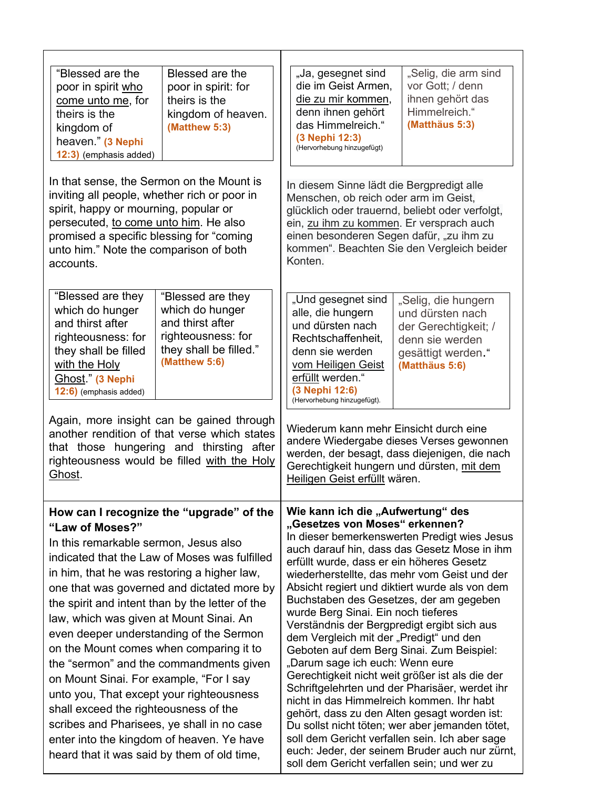| "Blessed are the<br>poor in spirit who<br>come unto me, for<br>theirs is the<br>kingdom of<br>heaven." (3 Nephi<br>12:3) (emphasis added)                                                                                                                                                                                                                                                                                                                                                                                                                                                                                                                                                                                                                   | Blessed are the<br>poor in spirit: for<br>theirs is the<br>kingdom of heaven.<br>(Matthew 5:3)                            | "Ja, gesegnet sind<br>die im Geist Armen,<br>die zu mir kommen,<br>denn ihnen gehört<br>das Himmelreich."<br>(3 Nephi 12:3)<br>(Hervorhebung hinzugefügt)                                                                                                                                                                                                                                                                                                                                                                | "Selig, die arm sind<br>vor Gott; / denn<br>ihnen gehört das<br>Himmelreich."<br>(Matthäus 5:3)                                                                                                                                                                                                                                                                                                                                                            |
|-------------------------------------------------------------------------------------------------------------------------------------------------------------------------------------------------------------------------------------------------------------------------------------------------------------------------------------------------------------------------------------------------------------------------------------------------------------------------------------------------------------------------------------------------------------------------------------------------------------------------------------------------------------------------------------------------------------------------------------------------------------|---------------------------------------------------------------------------------------------------------------------------|--------------------------------------------------------------------------------------------------------------------------------------------------------------------------------------------------------------------------------------------------------------------------------------------------------------------------------------------------------------------------------------------------------------------------------------------------------------------------------------------------------------------------|------------------------------------------------------------------------------------------------------------------------------------------------------------------------------------------------------------------------------------------------------------------------------------------------------------------------------------------------------------------------------------------------------------------------------------------------------------|
| In that sense, the Sermon on the Mount is<br>inviting all people, whether rich or poor in<br>spirit, happy or mourning, popular or<br>persecuted, to come unto him. He also<br>promised a specific blessing for "coming<br>unto him." Note the comparison of both<br>accounts.                                                                                                                                                                                                                                                                                                                                                                                                                                                                              |                                                                                                                           | In diesem Sinne lädt die Bergpredigt alle<br>Menschen, ob reich oder arm im Geist,<br>glücklich oder trauernd, beliebt oder verfolgt,<br>ein, zu ihm zu kommen. Er versprach auch<br>einen besonderen Segen dafür, "zu ihm zu<br>Konten.                                                                                                                                                                                                                                                                                 | kommen". Beachten Sie den Vergleich beider                                                                                                                                                                                                                                                                                                                                                                                                                 |
| "Blessed are they<br>which do hunger<br>and thirst after<br>righteousness: for<br>they shall be filled<br>with the Holy<br>Ghost." (3 Nephi<br>12:6) (emphasis added)                                                                                                                                                                                                                                                                                                                                                                                                                                                                                                                                                                                       | "Blessed are they<br>which do hunger<br>and thirst after<br>righteousness: for<br>they shall be filled."<br>(Matthew 5:6) | "Und gesegnet sind<br>alle, die hungern<br>und dürsten nach<br>Rechtschaffenheit,<br>denn sie werden<br>vom Heiligen Geist<br>erfüllt werden."<br>(3 Nephi 12:6)<br>(Hervorhebung hinzugefügt).                                                                                                                                                                                                                                                                                                                          | "Selig, die hungern<br>und dürsten nach<br>der Gerechtigkeit; /<br>denn sie werden<br>gesättigt werden."<br>(Matthäus 5:6)                                                                                                                                                                                                                                                                                                                                 |
| Again, more insight can be gained through<br>another rendition of that verse which states<br>that those hungering and thirsting after<br>righteousness would be filled with the Holy<br>Ghost.                                                                                                                                                                                                                                                                                                                                                                                                                                                                                                                                                              |                                                                                                                           | Wiederum kann mehr Einsicht durch eine<br>andere Wiedergabe dieses Verses gewonnen<br>werden, der besagt, dass diejenigen, die nach<br>Gerechtigkeit hungern und dürsten, mit dem<br>Heiligen Geist erfüllt wären.                                                                                                                                                                                                                                                                                                       |                                                                                                                                                                                                                                                                                                                                                                                                                                                            |
| How can I recognize the "upgrade" of the<br>"Law of Moses?"<br>In this remarkable sermon, Jesus also<br>indicated that the Law of Moses was fulfilled<br>in him, that he was restoring a higher law,<br>one that was governed and dictated more by<br>the spirit and intent than by the letter of the<br>law, which was given at Mount Sinai. An<br>even deeper understanding of the Sermon<br>on the Mount comes when comparing it to<br>the "sermon" and the commandments given<br>on Mount Sinai. For example, "For I say<br>unto you, That except your righteousness<br>shall exceed the righteousness of the<br>scribes and Pharisees, ye shall in no case<br>enter into the kingdom of heaven. Ye have<br>heard that it was said by them of old time, |                                                                                                                           | Wie kann ich die "Aufwertung" des<br>"Gesetzes von Moses" erkennen?<br>erfüllt wurde, dass er ein höheres Gesetz<br>Buchstaben des Gesetzes, der am gegeben<br>wurde Berg Sinai. Ein noch tieferes<br>Verständnis der Bergpredigt ergibt sich aus<br>dem Vergleich mit der "Predigt" und den<br>Geboten auf dem Berg Sinai. Zum Beispiel:<br>"Darum sage ich euch: Wenn eure<br>nicht in das Himmelreich kommen. Ihr habt<br>gehört, dass zu den Alten gesagt worden ist:<br>soll dem Gericht verfallen sein; und wer zu | In dieser bemerkenswerten Predigt wies Jesus<br>auch darauf hin, dass das Gesetz Mose in ihm<br>wiederherstellte, das mehr vom Geist und der<br>Absicht regiert und diktiert wurde als von dem<br>Gerechtigkeit nicht weit größer ist als die der<br>Schriftgelehrten und der Pharisäer, werdet ihr<br>Du sollst nicht töten; wer aber jemanden tötet,<br>soll dem Gericht verfallen sein. Ich aber sage<br>euch: Jeder, der seinem Bruder auch nur zürnt, |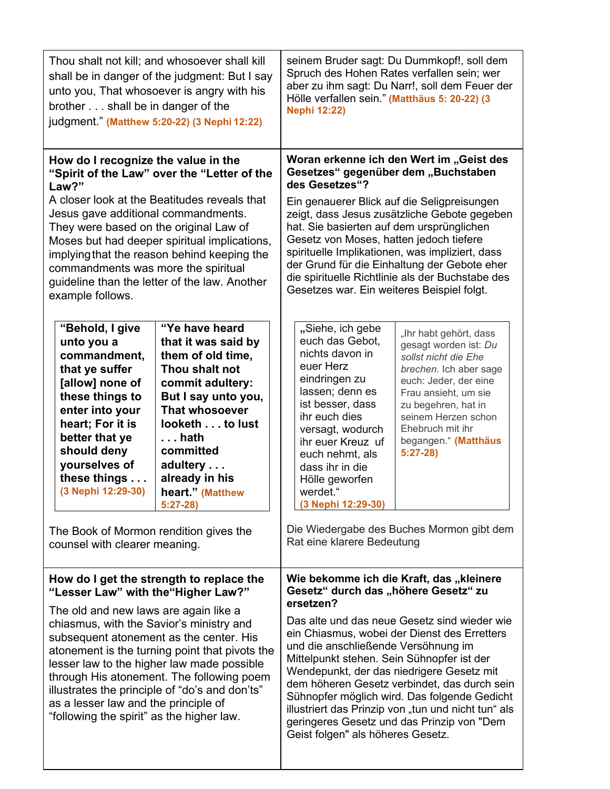| Thou shalt not kill; and whosoever shall kill<br>shall be in danger of the judgment: But I say<br>unto you, That whosoever is angry with his<br>brother shall be in danger of the<br>judgment." (Matthew 5:20-22) (3 Nephi 12:22)                                                                                                                                                                                                                                                                 |  | Spruch des Hohen Rates verfallen sein; wer<br>Hölle verfallen sein." (Matthäus 5: 20-22) (3<br><b>Nephi 12:22)</b>                                                                                                                                                                                                                                                                       | seinem Bruder sagt: Du Dummkopf!, soll dem<br>aber zu ihm sagt: Du Narr!, soll dem Feuer der                                                                                                                                                                                                      |
|---------------------------------------------------------------------------------------------------------------------------------------------------------------------------------------------------------------------------------------------------------------------------------------------------------------------------------------------------------------------------------------------------------------------------------------------------------------------------------------------------|--|------------------------------------------------------------------------------------------------------------------------------------------------------------------------------------------------------------------------------------------------------------------------------------------------------------------------------------------------------------------------------------------|---------------------------------------------------------------------------------------------------------------------------------------------------------------------------------------------------------------------------------------------------------------------------------------------------|
| How do I recognize the value in the<br>"Spirit of the Law" over the "Letter of the<br>Law?"                                                                                                                                                                                                                                                                                                                                                                                                       |  | Woran erkenne ich den Wert im "Geist des<br>Gesetzes" gegenüber dem "Buchstaben<br>des Gesetzes"?                                                                                                                                                                                                                                                                                        |                                                                                                                                                                                                                                                                                                   |
| A closer look at the Beatitudes reveals that<br>Jesus gave additional commandments.<br>They were based on the original Law of<br>Moses but had deeper spiritual implications,<br>implying that the reason behind keeping the<br>commandments was more the spiritual<br>guideline than the letter of the law. Another<br>example follows.                                                                                                                                                          |  | Ein genauerer Blick auf die Seligpreisungen<br>zeigt, dass Jesus zusätzliche Gebote gegeben<br>hat. Sie basierten auf dem ursprünglichen<br>Gesetz von Moses, hatten jedoch tiefere<br>spirituelle Implikationen, was impliziert, dass<br>der Grund für die Einhaltung der Gebote eher<br>die spirituelle Richtlinie als der Buchstabe des<br>Gesetzes war. Ein weiteres Beispiel folgt. |                                                                                                                                                                                                                                                                                                   |
| "Ye have heard<br>"Behold, I give<br>that it was said by<br>unto you a<br>commandment,<br>them of old time,<br>that ye suffer<br>Thou shalt not<br>[allow] none of<br>commit adultery:<br>these things to<br>But I say unto you,<br><b>That whosoever</b><br>enter into your<br>heart; For it is<br>looketh to lust<br>better that ye<br>. hath<br>should deny<br>committed<br>yourselves of<br>adultery<br>these things<br>already in his<br>(3 Nephi 12:29-30)<br>heart." (Matthew<br>$5:27-28$ |  | "Siehe, ich gebe<br>euch das Gebot,<br>nichts davon in<br>euer Herz<br>eindringen zu<br>lassen; denn es<br>ist besser, dass<br>ihr euch dies<br>versagt, wodurch<br>ihr euer Kreuz uf<br>euch nehmt, als<br>dass ihr in die<br>Hölle geworfen<br>werdet."<br>(3 Nephi 12:29-30)                                                                                                          | "Ihr habt gehört, dass<br>gesagt worden ist: Du<br>sollst nicht die Ehe<br>brechen. Ich aber sage<br>euch: Jeder, der eine<br>Frau ansieht, um sie<br>zu begehren, hat in<br>seinem Herzen schon<br>Ehebruch mit ihr<br>begangen." (Matthäus<br>$5:27-28$                                         |
| The Book of Mormon rendition gives the<br>counsel with clearer meaning.                                                                                                                                                                                                                                                                                                                                                                                                                           |  | Rat eine klarere Bedeutung                                                                                                                                                                                                                                                                                                                                                               | Die Wiedergabe des Buches Mormon gibt dem                                                                                                                                                                                                                                                         |
| How do I get the strength to replace the<br>"Lesser Law" with the "Higher Law?"                                                                                                                                                                                                                                                                                                                                                                                                                   |  | Wie bekomme ich die Kraft, das "kleinere<br>Gesetz" durch das "höhere Gesetz" zu<br>ersetzen?                                                                                                                                                                                                                                                                                            |                                                                                                                                                                                                                                                                                                   |
| The old and new laws are again like a<br>chiasmus, with the Savior's ministry and<br>subsequent atonement as the center. His<br>atonement is the turning point that pivots the<br>lesser law to the higher law made possible<br>through His atonement. The following poem<br>illustrates the principle of "do's and don'ts"<br>as a lesser law and the principle of<br>"following the spirit" as the higher law.                                                                                  |  | und die anschließende Versöhnung im<br>Mittelpunkt stehen. Sein Sühnopfer ist der<br>Wendepunkt, der das niedrigere Gesetz mit<br>Geist folgen" als höheres Gesetz.                                                                                                                                                                                                                      | Das alte und das neue Gesetz sind wieder wie<br>ein Chiasmus, wobei der Dienst des Erretters<br>dem höheren Gesetz verbindet, das durch sein<br>Sühnopfer möglich wird. Das folgende Gedicht<br>illustriert das Prinzip von "tun und nicht tun" als<br>geringeres Gesetz und das Prinzip von "Dem |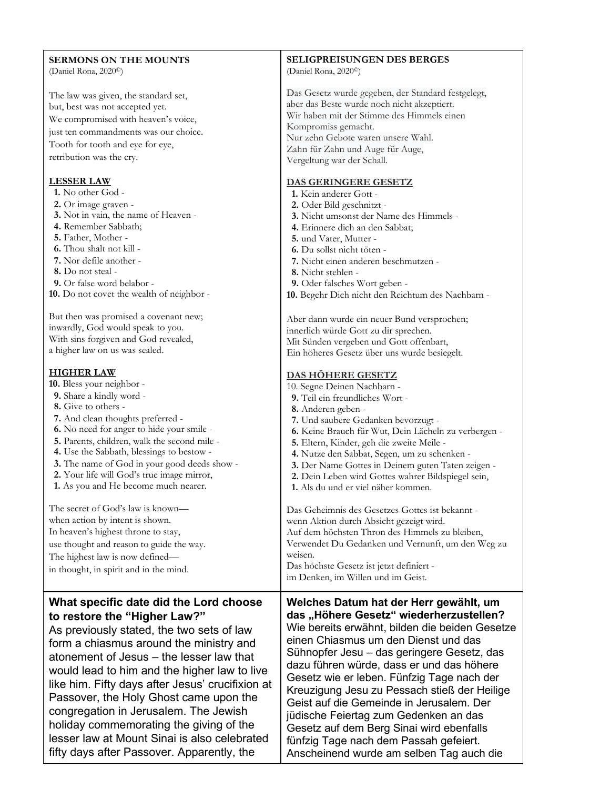| <b>SERMONS ON THE MOUNTS</b><br>(Daniel Rona, 2020 <sup>°</sup> )                                                                                                                                                                                                                                                                                                                                                                                                                                                                                                                                                                                              | <b>SELIGPREISUNGEN DES BERGES</b><br>(Daniel Rona, 2020 <sup>°</sup> )                                                                                                                                                                                                                                                                                                                                                                                                                                                                                                                                                                                                                                                                                           |
|----------------------------------------------------------------------------------------------------------------------------------------------------------------------------------------------------------------------------------------------------------------------------------------------------------------------------------------------------------------------------------------------------------------------------------------------------------------------------------------------------------------------------------------------------------------------------------------------------------------------------------------------------------------|------------------------------------------------------------------------------------------------------------------------------------------------------------------------------------------------------------------------------------------------------------------------------------------------------------------------------------------------------------------------------------------------------------------------------------------------------------------------------------------------------------------------------------------------------------------------------------------------------------------------------------------------------------------------------------------------------------------------------------------------------------------|
| The law was given, the standard set,<br>but, best was not accepted yet.<br>We compromised with heaven's voice,<br>just ten commandments was our choice.<br>Tooth for tooth and eye for eye,<br>retribution was the cry.                                                                                                                                                                                                                                                                                                                                                                                                                                        | Das Gesetz wurde gegeben, der Standard festgelegt,<br>aber das Beste wurde noch nicht akzeptiert.<br>Wir haben mit der Stimme des Himmels einen<br>Kompromiss gemacht.<br>Nur zehn Gebote waren unsere Wahl.<br>Zahn für Zahn und Auge für Auge,                                                                                                                                                                                                                                                                                                                                                                                                                                                                                                                 |
|                                                                                                                                                                                                                                                                                                                                                                                                                                                                                                                                                                                                                                                                | Vergeltung war der Schall.                                                                                                                                                                                                                                                                                                                                                                                                                                                                                                                                                                                                                                                                                                                                       |
| <b>LESSER LAW</b><br>1. No other God -<br>2. Or image graven -<br>3. Not in vain, the name of Heaven -<br>4. Remember Sabbath;<br>5. Father, Mother -<br>6. Thou shalt not kill -<br>7. Nor defile another -<br>8. Do not steal -<br>9. Or false word belabor -                                                                                                                                                                                                                                                                                                                                                                                                | DAS GERINGERE GESETZ<br>1. Kein anderer Gott -<br>2. Oder Bild geschnitzt -<br>3. Nicht umsonst der Name des Himmels -<br>4. Erinnere dich an den Sabbat;<br>5. und Vater, Mutter -<br>6. Du sollst nicht töten -<br>7. Nicht einen anderen beschmutzen -<br>8. Nicht stehlen -<br>9. Oder falsches Wort geben -                                                                                                                                                                                                                                                                                                                                                                                                                                                 |
| 10. Do not covet the wealth of neighbor -                                                                                                                                                                                                                                                                                                                                                                                                                                                                                                                                                                                                                      | 10. Begehr Dich nicht den Reichtum des Nachbarn -                                                                                                                                                                                                                                                                                                                                                                                                                                                                                                                                                                                                                                                                                                                |
| But then was promised a covenant new;<br>inwardly, God would speak to you.<br>With sins forgiven and God revealed,<br>a higher law on us was sealed.                                                                                                                                                                                                                                                                                                                                                                                                                                                                                                           | Aber dann wurde ein neuer Bund versprochen;<br>innerlich würde Gott zu dir sprechen.<br>Mit Sünden vergeben und Gott offenbart,<br>Ein höheres Gesetz über uns wurde besiegelt.                                                                                                                                                                                                                                                                                                                                                                                                                                                                                                                                                                                  |
| <b>HIGHER LAW</b><br>10. Bless your neighbor -<br>9. Share a kindly word -<br>8. Give to others -<br>7. And clean thoughts preferred -<br>6. No need for anger to hide your smile -<br>5. Parents, children, walk the second mile -<br>4. Use the Sabbath, blessings to bestow -<br>3. The name of God in your good deeds show -<br>2. Your life will God's true image mirror,<br>1. As you and He become much nearer.<br>The secret of God's law is known—<br>when action by intent is shown.<br>In heaven's highest throne to stay,<br>use thought and reason to guide the way.<br>The highest law is now defined-<br>in thought, in spirit and in the mind. | <b>DAS HÖHERE GESETZ</b><br>10. Segne Deinen Nachbarn -<br>9. Teil ein freundliches Wort -<br>8. Anderen geben -<br>7. Und saubere Gedanken bevorzugt -<br>6. Keine Brauch für Wut, Dein Lächeln zu verbergen -<br>5. Eltern, Kinder, geh die zweite Meile -<br>4. Nutze den Sabbat, Segen, um zu schenken -<br>3. Der Name Gottes in Deinem guten Taten zeigen -<br>2. Dein Leben wird Gottes wahrer Bildspiegel sein,<br>1. Als du und er viel näher kommen.<br>Das Geheimnis des Gesetzes Gottes ist bekannt -<br>wenn Aktion durch Absicht gezeigt wird.<br>Auf dem höchsten Thron des Himmels zu bleiben,<br>Verwendet Du Gedanken und Vernunft, um den Weg zu<br>weisen.<br>Das höchste Gesetz ist jetzt definiert -<br>im Denken, im Willen und im Geist. |
| What specific date did the Lord choose<br>to restore the "Higher Law?"<br>As previously stated, the two sets of law<br>form a chiasmus around the ministry and<br>atonement of Jesus - the lesser law that<br>would lead to him and the higher law to live<br>like him. Fifty days after Jesus' crucifixion at<br>Passover, the Holy Ghost came upon the<br>congregation in Jerusalem. The Jewish<br>holiday commemorating the giving of the<br>lesser law at Mount Sinai is also celebrated                                                                                                                                                                   | Welches Datum hat der Herr gewählt, um<br>das "Höhere Gesetz" wiederherzustellen?<br>Wie bereits erwähnt, bilden die beiden Gesetze<br>einen Chiasmus um den Dienst und das<br>Sühnopfer Jesu – das geringere Gesetz, das<br>dazu führen würde, dass er und das höhere<br>Gesetz wie er leben. Fünfzig Tage nach der<br>Kreuzigung Jesu zu Pessach stieß der Heilige<br>Geist auf die Gemeinde in Jerusalem. Der<br>jüdische Feiertag zum Gedenken an das<br>Gesetz auf dem Berg Sinai wird ebenfalls<br>fünfzig Tage nach dem Passah gefeiert.                                                                                                                                                                                                                  |

fünfzig Tage nach dem Passah gefeiert. Anscheinend wurde am selben Tag auch die

fifty days after Passover. Apparently, the